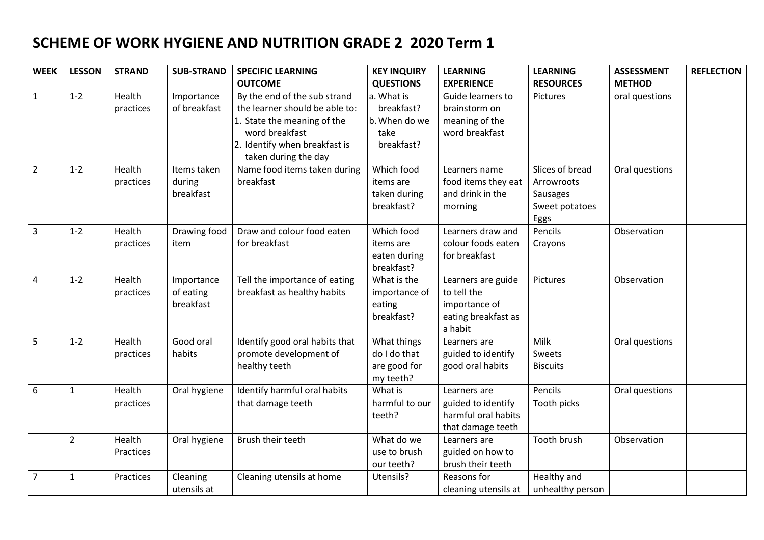## **SCHEME OF WORK HYGIENE AND NUTRITION GRADE 2 2020 Term 1**

| <b>WEEK</b>      | <b>LESSON</b>  | <b>STRAND</b> | <b>SUB-STRAND</b> | <b>SPECIFIC LEARNING</b>       | <b>KEY INQUIRY</b> | <b>LEARNING</b>      | <b>LEARNING</b>  | <b>ASSESSMENT</b> | <b>REFLECTION</b> |
|------------------|----------------|---------------|-------------------|--------------------------------|--------------------|----------------------|------------------|-------------------|-------------------|
|                  |                |               |                   | <b>OUTCOME</b>                 | <b>QUESTIONS</b>   | <b>EXPERIENCE</b>    | <b>RESOURCES</b> | <b>METHOD</b>     |                   |
| $\mathbf{1}$     | $1 - 2$        | Health        | Importance        | By the end of the sub strand   | a. What is         | Guide learners to    | Pictures         | oral questions    |                   |
|                  |                | practices     | of breakfast      | the learner should be able to: | breakfast?         | brainstorm on        |                  |                   |                   |
|                  |                |               |                   | 1. State the meaning of the    | b. When do we      | meaning of the       |                  |                   |                   |
|                  |                |               |                   | word breakfast                 | take               | word breakfast       |                  |                   |                   |
|                  |                |               |                   | 2. Identify when breakfast is  | breakfast?         |                      |                  |                   |                   |
|                  |                |               |                   | taken during the day           |                    |                      |                  |                   |                   |
| $\overline{2}$   | $1 - 2$        | Health        | Items taken       | Name food items taken during   | Which food         | Learners name        | Slices of bread  | Oral questions    |                   |
|                  |                | practices     | during            | breakfast                      | items are          | food items they eat  | Arrowroots       |                   |                   |
|                  |                |               | breakfast         |                                | taken during       | and drink in the     | Sausages         |                   |                   |
|                  |                |               |                   |                                | breakfast?         | morning              | Sweet potatoes   |                   |                   |
|                  |                |               |                   |                                |                    |                      | Eggs             |                   |                   |
| $\overline{3}$   | $1 - 2$        | Health        | Drawing food      | Draw and colour food eaten     | Which food         | Learners draw and    | Pencils          | Observation       |                   |
|                  |                | practices     | item              | for breakfast                  | items are          | colour foods eaten   | Crayons          |                   |                   |
|                  |                |               |                   |                                | eaten during       | for breakfast        |                  |                   |                   |
|                  |                |               |                   |                                | breakfast?         |                      |                  |                   |                   |
| $\overline{4}$   | $1 - 2$        | Health        | Importance        | Tell the importance of eating  | What is the        | Learners are guide   | Pictures         | Observation       |                   |
|                  |                | practices     | of eating         | breakfast as healthy habits    | importance of      | to tell the          |                  |                   |                   |
|                  |                |               | breakfast         |                                | eating             | importance of        |                  |                   |                   |
|                  |                |               |                   |                                | breakfast?         | eating breakfast as  |                  |                   |                   |
|                  |                |               |                   |                                |                    | a habit              |                  |                   |                   |
| 5                | $1 - 2$        | Health        | Good oral         | Identify good oral habits that | What things        | Learners are         | Milk             | Oral questions    |                   |
|                  |                | practices     | habits            | promote development of         | do I do that       | guided to identify   | Sweets           |                   |                   |
|                  |                |               |                   | healthy teeth                  | are good for       | good oral habits     | <b>Biscuits</b>  |                   |                   |
|                  |                |               |                   |                                | my teeth?          |                      |                  |                   |                   |
| $\boldsymbol{6}$ | $\mathbf{1}$   | Health        | Oral hygiene      | Identify harmful oral habits   | What is            | Learners are         | Pencils          | Oral questions    |                   |
|                  |                | practices     |                   | that damage teeth              | harmful to our     | guided to identify   | Tooth picks      |                   |                   |
|                  |                |               |                   |                                | teeth?             | harmful oral habits  |                  |                   |                   |
|                  |                |               |                   |                                |                    | that damage teeth    |                  |                   |                   |
|                  | $\overline{2}$ | Health        | Oral hygiene      | Brush their teeth              | What do we         | Learners are         | Tooth brush      | Observation       |                   |
|                  |                | Practices     |                   |                                | use to brush       | guided on how to     |                  |                   |                   |
|                  |                |               |                   |                                | our teeth?         | brush their teeth    |                  |                   |                   |
| $\overline{7}$   | $\mathbf{1}$   | Practices     | Cleaning          | Cleaning utensils at home      | Utensils?          | Reasons for          | Healthy and      |                   |                   |
|                  |                |               | utensils at       |                                |                    | cleaning utensils at | unhealthy person |                   |                   |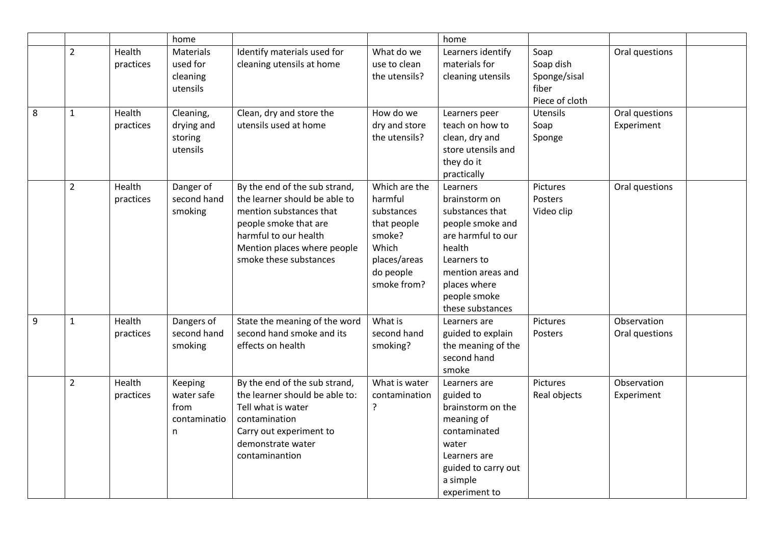|   |                |                     | home                                               |                                                                                                                                                                                                      | home                                                                                                                 |                                                                                                                                                                                          |                                                              |                               |  |
|---|----------------|---------------------|----------------------------------------------------|------------------------------------------------------------------------------------------------------------------------------------------------------------------------------------------------------|----------------------------------------------------------------------------------------------------------------------|------------------------------------------------------------------------------------------------------------------------------------------------------------------------------------------|--------------------------------------------------------------|-------------------------------|--|
|   | $\overline{2}$ | Health<br>practices | Materials<br>used for<br>cleaning<br>utensils      | Identify materials used for<br>cleaning utensils at home                                                                                                                                             | What do we<br>use to clean<br>the utensils?                                                                          | Learners identify<br>materials for<br>cleaning utensils                                                                                                                                  | Soap<br>Soap dish<br>Sponge/sisal<br>fiber<br>Piece of cloth | Oral questions                |  |
| 8 | $\mathbf{1}$   | Health<br>practices | Cleaning,<br>drying and<br>storing<br>utensils     | Clean, dry and store the<br>utensils used at home                                                                                                                                                    | How do we<br>dry and store<br>the utensils?                                                                          | Learners peer<br>teach on how to<br>clean, dry and<br>store utensils and<br>they do it<br>practically                                                                                    | <b>Utensils</b><br>Soap<br>Sponge                            | Oral questions<br>Experiment  |  |
|   | $\overline{2}$ | Health<br>practices | Danger of<br>second hand<br>smoking                | By the end of the sub strand,<br>the learner should be able to<br>mention substances that<br>people smoke that are<br>harmful to our health<br>Mention places where people<br>smoke these substances | Which are the<br>harmful<br>substances<br>that people<br>smoke?<br>Which<br>places/areas<br>do people<br>smoke from? | Learners<br>brainstorm on<br>substances that<br>people smoke and<br>are harmful to our<br>health<br>Learners to<br>mention areas and<br>places where<br>people smoke<br>these substances | Pictures<br>Posters<br>Video clip                            | Oral questions                |  |
| 9 | $\mathbf{1}$   | Health<br>practices | Dangers of<br>second hand<br>smoking               | State the meaning of the word<br>second hand smoke and its<br>effects on health                                                                                                                      | What is<br>second hand<br>smoking?                                                                                   | Learners are<br>guided to explain<br>the meaning of the<br>second hand<br>smoke                                                                                                          | Pictures<br>Posters                                          | Observation<br>Oral questions |  |
|   | $\overline{2}$ | Health<br>practices | Keeping<br>water safe<br>from<br>contaminatio<br>n | By the end of the sub strand,<br>the learner should be able to:<br>Tell what is water<br>contamination<br>Carry out experiment to<br>demonstrate water<br>contaminantion                             | What is water<br>contamination<br>?                                                                                  | Learners are<br>guided to<br>brainstorm on the<br>meaning of<br>contaminated<br>water<br>Learners are<br>guided to carry out<br>a simple<br>experiment to                                | Pictures<br>Real objects                                     | Observation<br>Experiment     |  |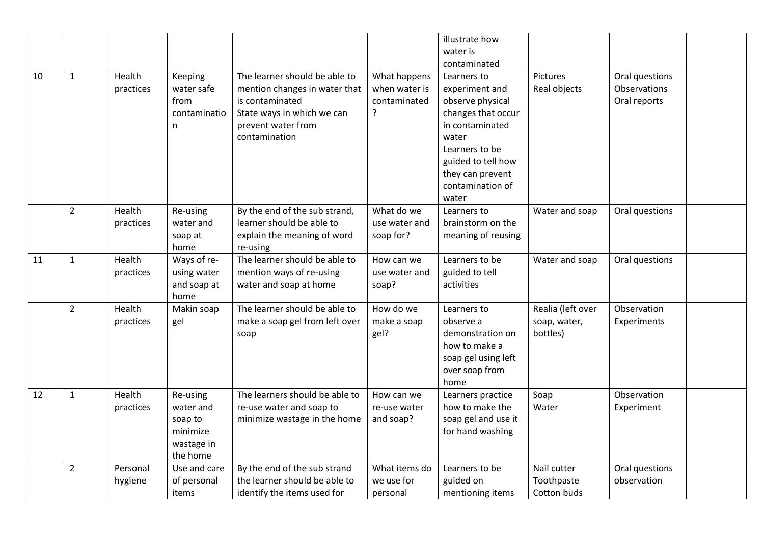|    |                |                     |                                                                        |                                                                                                                                                        |                                                    | illustrate how                                                                                                                                                                               |                                               |                                                |  |
|----|----------------|---------------------|------------------------------------------------------------------------|--------------------------------------------------------------------------------------------------------------------------------------------------------|----------------------------------------------------|----------------------------------------------------------------------------------------------------------------------------------------------------------------------------------------------|-----------------------------------------------|------------------------------------------------|--|
|    |                |                     |                                                                        |                                                                                                                                                        |                                                    | water is<br>contaminated                                                                                                                                                                     |                                               |                                                |  |
| 10 | $\mathbf{1}$   | Health<br>practices | Keeping<br>water safe<br>from<br>contaminatio<br>n                     | The learner should be able to<br>mention changes in water that<br>is contaminated<br>State ways in which we can<br>prevent water from<br>contamination | What happens<br>when water is<br>contaminated<br>? | Learners to<br>experiment and<br>observe physical<br>changes that occur<br>in contaminated<br>water<br>Learners to be<br>guided to tell how<br>they can prevent<br>contamination of<br>water | Pictures<br>Real objects                      | Oral questions<br>Observations<br>Oral reports |  |
|    | $\overline{2}$ | Health<br>practices | Re-using<br>water and<br>soap at<br>home                               | By the end of the sub strand,<br>learner should be able to<br>explain the meaning of word<br>re-using                                                  | What do we<br>use water and<br>soap for?           | Learners to<br>brainstorm on the<br>meaning of reusing                                                                                                                                       | Water and soap                                | Oral questions                                 |  |
| 11 | $\mathbf{1}$   | Health<br>practices | Ways of re-<br>using water<br>and soap at<br>home                      | The learner should be able to<br>mention ways of re-using<br>water and soap at home                                                                    | How can we<br>use water and<br>soap?               | Learners to be<br>guided to tell<br>activities                                                                                                                                               | Water and soap                                | Oral questions                                 |  |
|    | $\overline{2}$ | Health<br>practices | Makin soap<br>gel                                                      | The learner should be able to<br>make a soap gel from left over<br>soap                                                                                | How do we<br>make a soap<br>gel?                   | Learners to<br>observe a<br>demonstration on<br>how to make a<br>soap gel using left<br>over soap from<br>home                                                                               | Realia (left over<br>soap, water,<br>bottles) | Observation<br>Experiments                     |  |
| 12 | $\mathbf{1}$   | Health<br>practices | Re-using<br>water and<br>soap to<br>minimize<br>wastage in<br>the home | The learners should be able to<br>re-use water and soap to<br>minimize wastage in the home                                                             | How can we<br>re-use water<br>and soap?            | Learners practice<br>how to make the<br>soap gel and use it<br>for hand washing                                                                                                              | Soap<br>Water                                 | Observation<br>Experiment                      |  |
|    | $\overline{2}$ | Personal<br>hygiene | Use and care<br>of personal<br>items                                   | By the end of the sub strand<br>the learner should be able to<br>identify the items used for                                                           | What items do<br>we use for<br>personal            | Learners to be<br>guided on<br>mentioning items                                                                                                                                              | Nail cutter<br>Toothpaste<br>Cotton buds      | Oral questions<br>observation                  |  |